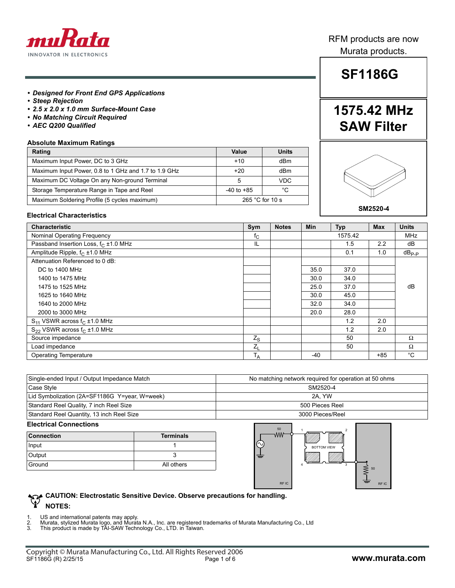

### RFM products are now Murata products.

# **SF1186G**

**1575.42 MHz**

**SAW Filter**

#### *• Designed for Front End GPS Applications*

- *Steep Rejection*
- *2.5 x 2.0 x 1.0 mm Surface-Mount Case*
- *No Matching Circuit Required*
- *AEC Q200 Qualified*

#### **Absolute Maximum Ratings**

| Rating                                               | Value                | Units           |
|------------------------------------------------------|----------------------|-----------------|
| Maximum Input Power, DC to 3 GHz                     | $+10$                | dB <sub>m</sub> |
| Maximum Input Power, 0.8 to 1 GHz and 1.7 to 1.9 GHz | $+20$<br>dBm         |                 |
| Maximum DC Voltage On any Non-ground Terminal        | <b>VDC</b>           |                 |
| Storage Temperature Range in Tape and Reel           | °C<br>$-40$ to $+85$ |                 |
| Maximum Soldering Profile (5 cycles maximum)         | 265 $°C$ for 10 s    |                 |



#### **Electrical Characteristics**

| <b>Characteristic</b>                            | Sym         | <b>Notes</b> | Min  | <b>Typ</b> | <b>Max</b> | <b>Units</b>      |
|--------------------------------------------------|-------------|--------------|------|------------|------------|-------------------|
| Nominal Operating Frequency                      | $t_{\rm C}$ |              |      | 1575.42    |            | <b>MHz</b>        |
| Passband Insertion Loss, f <sub>C</sub> ±1.0 MHz | IL          |              |      | 1.5        | 2.2        | dB                |
| Amplitude Ripple, $f_C \pm 1.0$ MHz              |             |              |      | 0.1        | 1.0        | $dB_{\text{P-P}}$ |
| Attenuation Referenced to 0 dB:                  |             |              |      |            |            |                   |
| DC to 1400 MHz                                   |             |              | 35.0 | 37.0       |            |                   |
| 1400 to 1475 MHz                                 |             |              | 30.0 | 34.0       |            |                   |
| 1475 to 1525 MHz                                 |             |              | 25.0 | 37.0       |            | dB                |
| 1625 to 1640 MHz                                 |             |              | 30.0 | 45.0       |            |                   |
| 1640 to 2000 MHz                                 |             |              | 32.0 | 34.0       |            |                   |
| 2000 to 3000 MHz                                 |             |              | 20.0 | 28.0       |            |                   |
| $S_{11}$ VSWR across $f_C \pm 1.0$ MHz           |             |              |      | 1.2        | 2.0        |                   |
| $S_{22}$ VSWR across $f_C \pm 1.0$ MHz           |             |              |      | 1.2        | 2.0        |                   |
| Source impedance                                 | $Z_{S}$     |              |      | 50         |            | Ω                 |
| Load impedance                                   | $Z_L$       |              |      | 50         |            | $\Omega$          |
| Operating Temperature                            | $T_A$       |              | -40  |            | $+85$      | $^{\circ}C$       |

| Single-ended Input / Output Impedance Match   | No matching network required for operation at 50 ohms |
|-----------------------------------------------|-------------------------------------------------------|
| Case Style                                    | SM2520-4                                              |
| Lid Symbolization (2A=SF1186G Y=year, W=week) | 2A. YW                                                |
| Standard Reel Quality, 7 inch Reel Size       | 500 Pieces Reel                                       |
| Standard Reel Quantity, 13 inch Reel Size     | 3000 Pieces/Reel                                      |

#### **Electrical Connections**

| <b>Connection</b> | <b>Terminals</b> |
|-------------------|------------------|
| Input             |                  |
| Output            |                  |
| Ground            | All others       |



#### **CAUTION: Electrostatic Sensitive Device. Observe precautions for handling. NOTES:**

1. US and international patents may apply. 2. Murata, stylized Murata logo, and Murata N.A., Inc. are registered trademarks of Murata Manufacturing Co., Ltd 3. This product is made by TAI-SAW Technology Co., LTD. in Taiwan.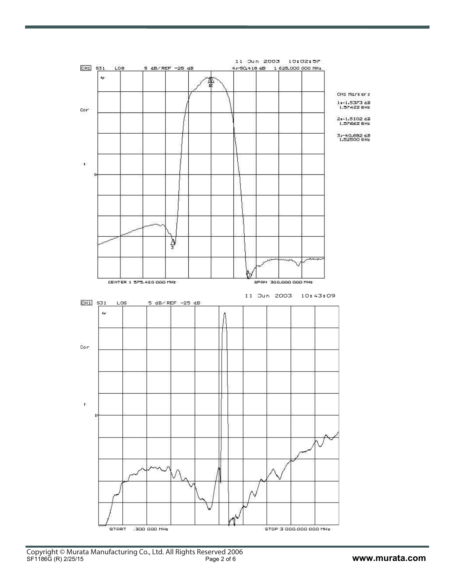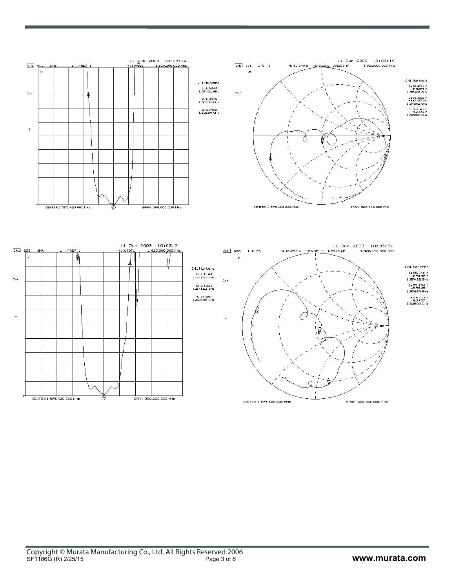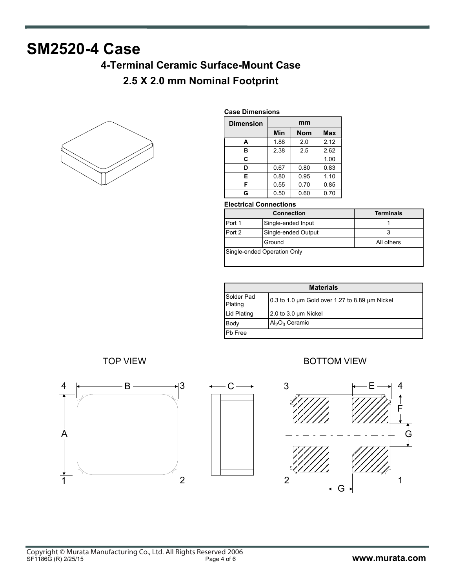# **SM2520-4 Case**

# **4-Terminal Ceramic Surface-Mount Case**

## **2.5 X 2.0 mm Nominal Footprint**



#### **Case Dimensions**

| <b>Dimension</b> | mm   |            |            |
|------------------|------|------------|------------|
|                  | Min  | <b>Nom</b> | <b>Max</b> |
| А                | 1.88 | 2.0        | 2.12       |
| в                | 2.38 | 2.5        | 2.62       |
| C                |      |            | 1.00       |
| D                | 0.67 | 0.80       | 0.83       |
| E                | 0.80 | 0.95       | 1.10       |
| F                | 0.55 | 0.70       | 0.85       |
| G                | 0.50 | 0.60       | 0.70       |

### **Electrical Connections**

| <b>Connection</b> |                             | <b>Terminals</b> |  |
|-------------------|-----------------------------|------------------|--|
| Port 1            | Single-ended Input          |                  |  |
| Port 2            | Single-ended Output         |                  |  |
|                   | Ground                      | All others       |  |
|                   | Single-ended Operation Only |                  |  |
|                   |                             |                  |  |

| <b>Materials</b>      |                                                |  |
|-----------------------|------------------------------------------------|--|
| Solder Pad<br>Plating | 0.3 to 1.0 um Gold over 1.27 to 8.89 um Nickel |  |
| Lid Plating           | 2.0 to 3.0 um Nickel                           |  |
| Body                  | $Al_2O_3$ Ceramic                              |  |
| Pb Free               |                                                |  |





### TOP VIEW **BOTTOM VIEW**

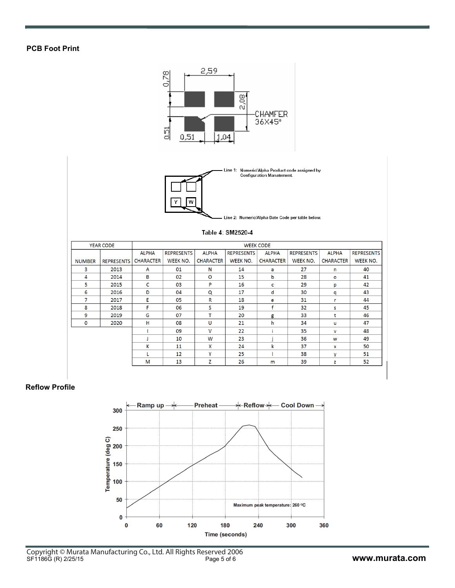### **PCB Foot Print**



#### **Reflow Profile**

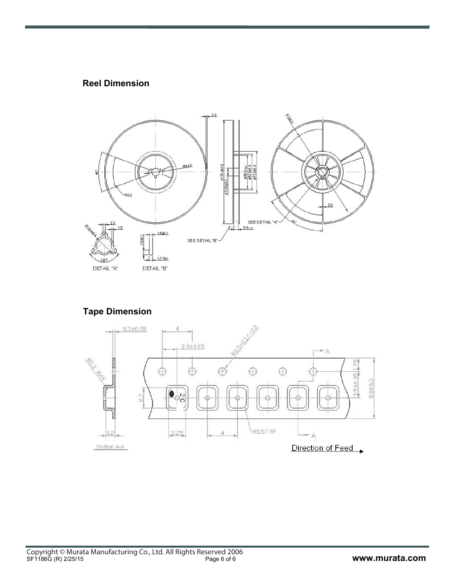### **Reel Dimension**



### **Tape Dimension**